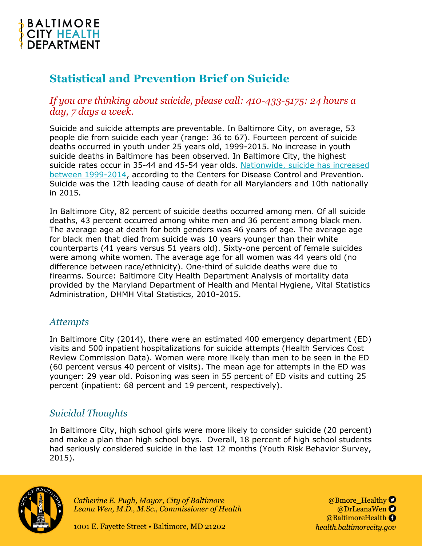

# **Statistical and Prevention Brief on Suicide**

*If you are thinking about suicide, please call: 410-433-5175: 24 hours a day, 7 days a week.*

Suicide and suicide attempts are preventable. In Baltimore City, on average, 53 people die from suicide each year (range: 36 to 67). Fourteen percent of suicide deaths occurred in youth under 25 years old, 1999-2015. No increase in youth suicide deaths in Baltimore has been observed. In Baltimore City, the highest suicide rates occur in 35-44 and 45-54 year olds. [Nationwide, suicide has increased](https://www.cdc.gov/nchs/products/databriefs/db241.htm)  [between 1999-2014,](https://www.cdc.gov/nchs/products/databriefs/db241.htm) according to the Centers for Disease Control and Prevention. Suicide was the 12th leading cause of death for all Marylanders and 10th nationally in 2015.

In Baltimore City, 82 percent of suicide deaths occurred among men. Of all suicide deaths, 43 percent occurred among white men and 36 percent among black men. The average age at death for both genders was 46 years of age. The average age for black men that died from suicide was 10 years younger than their white counterparts (41 years versus 51 years old). Sixty-one percent of female suicides were among white women. The average age for all women was 44 years old (no difference between race/ethnicity). One-third of suicide deaths were due to firearms. Source: Baltimore City Health Department Analysis of mortality data provided by the Maryland Department of Health and Mental Hygiene, Vital Statistics Administration, DHMH Vital Statistics, 2010-2015.

#### *Attempts*

In Baltimore City (2014), there were an estimated 400 emergency department (ED) visits and 500 inpatient hospitalizations for suicide attempts (Health Services Cost Review Commission Data). Women were more likely than men to be seen in the ED (60 percent versus 40 percent of visits). The mean age for attempts in the ED was younger: 29 year old. Poisoning was seen in 55 percent of ED visits and cutting 25 percent (inpatient: 68 percent and 19 percent, respectively).

# *Suicidal Thoughts*

In Baltimore City, high school girls were more likely to consider suicide (20 percent) and make a plan than high school boys. Overall, 18 percent of high school students had seriously considered suicide in the last 12 months (Youth Risk Behavior Survey, 2015).



*Catherine E. Pugh, Mayor, City of Baltimore Leana Wen, M.D., M.Sc., Commissioner of Health*

@Bmore Healthy O @DrLeanaWen @BaltimoreHealth O health.baltimorecity.gov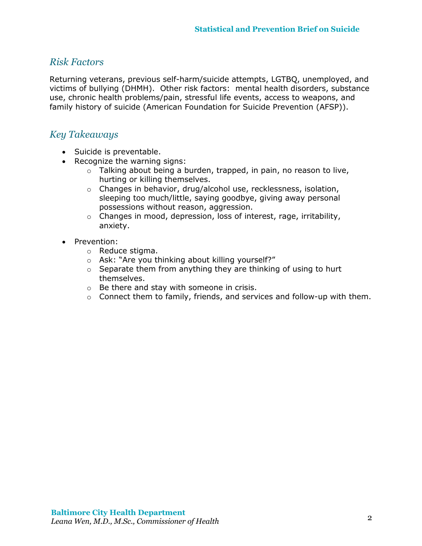### *Risk Factors*

Returning veterans, previous self-harm/suicide attempts, LGTBQ, unemployed, and victims of bullying (DHMH). Other risk factors: mental health disorders, substance use, chronic health problems/pain, stressful life events, access to weapons, and family history of suicide (American Foundation for Suicide Prevention (AFSP)).

### *Key Takeaways*

- Suicide is preventable.
- Recognize the warning signs:
	- $\circ$  Talking about being a burden, trapped, in pain, no reason to live, hurting or killing themselves.
	- o Changes in behavior, drug/alcohol use, recklessness, isolation, sleeping too much/little, saying goodbye, giving away personal possessions without reason, aggression.
	- o Changes in mood, depression, loss of interest, rage, irritability, anxiety.
- Prevention:
	- o Reduce stigma.
	- o Ask: "Are you thinking about killing yourself?"
	- $\circ$  Separate them from anything they are thinking of using to hurt themselves.
	- o Be there and stay with someone in crisis.
	- o Connect them to family, friends, and services and follow-up with them.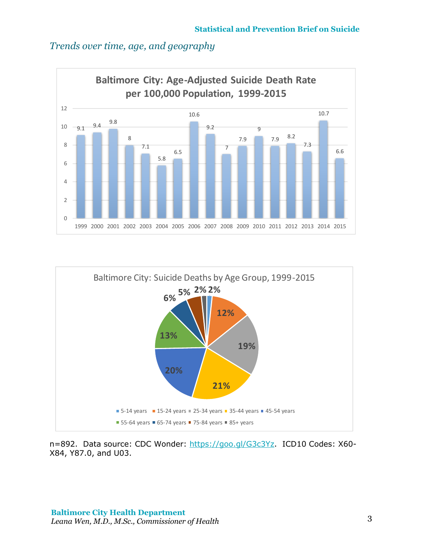# *Trends over time, age, and geography*





n=892. Data source: CDC Wonder: [https://goo.gl/G3c3Yz.](https://goo.gl/G3c3Yz) ICD10 Codes: X60-X84, Y87.0, and U03.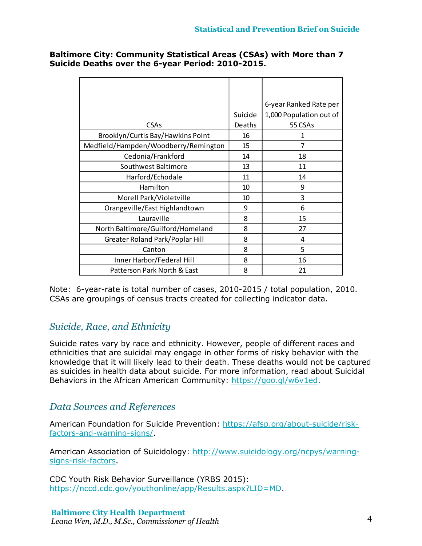| <b>Baltimore City: Community Statistical Areas (CSAs) with More than 7</b> |  |
|----------------------------------------------------------------------------|--|
| Suicide Deaths over the 6-year Period: 2010-2015.                          |  |

|                                      |         | 6-year Ranked Rate per  |
|--------------------------------------|---------|-------------------------|
|                                      | Suicide | 1,000 Population out of |
| <b>CSAs</b>                          | Deaths  | 55 CSAs                 |
| Brooklyn/Curtis Bay/Hawkins Point    | 16      | 1                       |
| Medfield/Hampden/Woodberry/Remington | 15      | 7                       |
| Cedonia/Frankford                    | 14      | 18                      |
| Southwest Baltimore                  | 13      | 11                      |
| Harford/Echodale                     | 11      | 14                      |
| Hamilton                             | 10      | 9                       |
| Morell Park/Violetville              | 10      | 3                       |
| Orangeville/East Highlandtown        | 9       | 6                       |
| Lauraville                           | 8       | 15                      |
| North Baltimore/Guilford/Homeland    | 8       | 27                      |
| Greater Roland Park/Poplar Hill      | 8       | 4                       |
| Canton                               | 8       | 5                       |
| Inner Harbor/Federal Hill            | 8       | 16                      |
| Patterson Park North & East          | 8       | 21                      |

Note: 6-year-rate is total number of cases, 2010-2015 / total population, 2010. CSAs are groupings of census tracts created for collecting indicator data.

# *Suicide, Race, and Ethnicity*

Suicide rates vary by race and ethnicity. However, people of different races and ethnicities that are suicidal may engage in other forms of risky behavior with the knowledge that it will likely lead to their death. These deaths would not be captured as suicides in health data about suicide. For more information, read about Suicidal Behaviors in the African American Community: [https://goo.gl/w6v1ed.](https://goo.gl/w6v1ed)

# *Data Sources and References*

American Foundation for Suicide Prevention: [https://afsp.org/about-suicide/risk](https://afsp.org/about-suicide/risk-factors-and-warning-signs/)[factors-and-warning-signs/.](https://afsp.org/about-suicide/risk-factors-and-warning-signs/)

American Association of Suicidology: [http://www.suicidology.org/ncpys/warning](http://www.suicidology.org/ncpys/warning-signs-risk-factors)[signs-risk-factors.](http://www.suicidology.org/ncpys/warning-signs-risk-factors)

CDC Youth Risk Behavior Surveillance (YRBS 2015): [https://nccd.cdc.gov/youthonline/app/Results.aspx?LID=MD.](https://nccd.cdc.gov/youthonline/app/Results.aspx?LID=MD)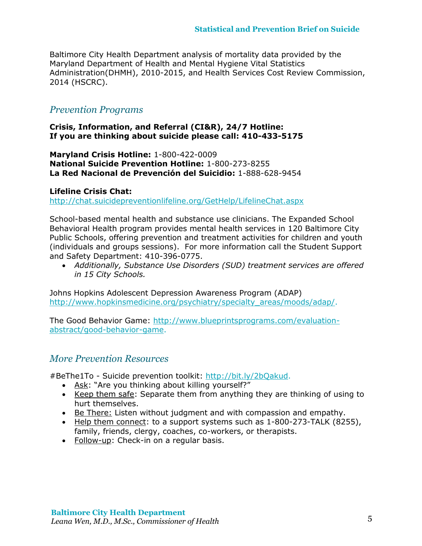Baltimore City Health Department analysis of mortality data provided by the Maryland Department of Health and Mental Hygiene Vital Statistics Administration(DHMH), 2010-2015, and Health Services Cost Review Commission, 2014 (HSCRC).

### *Prevention Programs*

**Crisis, Information, and Referral (CI&R), 24/7 Hotline: If you are thinking about suicide please call: 410-433-5175**

**Maryland Crisis Hotline:** 1-800-422-0009 **National Suicide Prevention Hotline:** 1-800-273-8255 **La Red Nacional de Prevención del Suicidio:** 1-888-628-9454

#### **Lifeline Crisis Chat:**

<http://chat.suicidepreventionlifeline.org/GetHelp/LifelineChat.aspx>

School-based mental health and substance use clinicians. The Expanded School Behavioral Health program provides mental health services in 120 Baltimore City Public Schools, offering prevention and treatment activities for children and youth (individuals and groups sessions). For more information call the Student Support and Safety Department: 410-396-0775.

 *Additionally, Substance Use Disorders (SUD) treatment services are offered in 15 City Schools.*

Johns Hopkins Adolescent Depression Awareness Program (ADAP) [http://www.hopkinsmedicine.org/psychiatry/specialty\\_areas/moods/adap/.](http://www.hopkinsmedicine.org/psychiatry/specialty_areas/moods/adap/)

The Good Behavior Game: [http://www.blueprintsprograms.com/evaluation](http://www.blueprintsprograms.com/evaluation-abstract/good-behavior-game)[abstract/good-behavior-game.](http://www.blueprintsprograms.com/evaluation-abstract/good-behavior-game)

### *More Prevention Resources*

#BeThe1To - Suicide prevention toolkit: [http://bit.ly/2bQakud.](http://bit.ly/2bQakud)

- Ask: "Are you thinking about killing yourself?"
- Keep them safe: Separate them from anything they are thinking of using to hurt themselves.
- Be There: Listen without judgment and with compassion and empathy.
- Help them connect: to a support systems such as 1-800-273-TALK (8255), family, friends, clergy, coaches, co-workers, or therapists.
- Follow-up: Check-in on a regular basis.